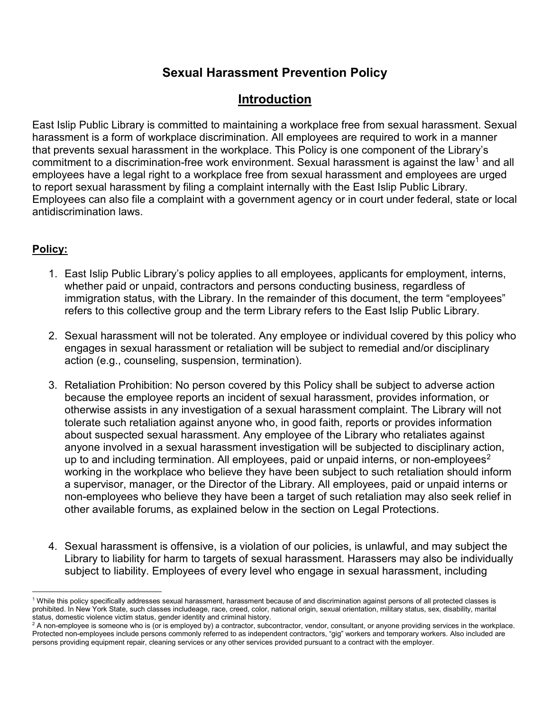# **Sexual Harassment Prevention Policy**

# **Introduction**

East Islip Public Library is committed to maintaining a workplace free from sexual harassment. Sexual harassment is a form of workplace discrimination. All employees are required to work in a manner that prevents sexual harassment in the workplace. This Policy is one component of the Library's commitment to a discrimination-free work environment. Sexual harassment is against the law<sup>[1](#page-0-0)</sup> and all employees have a legal right to a workplace free from sexual harassment and employees are urged to report sexual harassment by filing a complaint internally with the East Islip Public Library. Employees can also file a complaint with a government agency or in court under federal, state or local antidiscrimination laws.

### **Policy:**

- 1. East Islip Public Library's policy applies to all employees, applicants for employment, interns, whether paid or unpaid, contractors and persons conducting business, regardless of immigration status, with the Library. In the remainder of this document, the term "employees" refers to this collective group and the term Library refers to the East Islip Public Library.
- 2. Sexual harassment will not be tolerated. Any employee or individual covered by this policy who engages in sexual harassment or retaliation will be subject to remedial and/or disciplinary action (e.g., counseling, suspension, termination).
- 3. Retaliation Prohibition: No person covered by this Policy shall be subject to adverse action because the employee reports an incident of sexual harassment, provides information, or otherwise assists in any investigation of a sexual harassment complaint. The Library will not tolerate such retaliation against anyone who, in good faith, reports or provides information about suspected sexual harassment. Any employee of the Library who retaliates against anyone involved in a sexual harassment investigation will be subjected to disciplinary action, up to and including termination. All employees, paid or unpaid interns, or non-employees<sup>[2](#page-0-1)</sup> working in the workplace who believe they have been subject to such retaliation should inform a supervisor, manager, or the Director of the Library. All employees, paid or unpaid interns or non-employees who believe they have been a target of such retaliation may also seek relief in other available forums, as explained below in the section on Legal Protections.
- 4. Sexual harassment is offensive, is a violation of our policies, is unlawful, and may subject the Library to liability for harm to targets of sexual harassment. Harassers may also be individually subject to liability. Employees of every level who engage in sexual harassment, including

<span id="page-0-0"></span> $\overline{a}$ <sup>1</sup> While this policy specifically addresses sexual harassment, harassment because of and discrimination against persons of all protected classes is prohibited. In New York State, such classes includeage, race, creed, color, national origin, sexual orientation, military status, sex, disability, marital status, domestic violence victim status, gender identity and criminal history.

<span id="page-0-1"></span> $2$  A non-employee is someone who is (or is employed by) a contractor, subcontractor, vendor, consultant, or anyone providing services in the workplace. Protected non-employees include persons commonly referred to as independent contractors, "gig" workers and temporary workers. Also included are persons providing equipment repair, cleaning services or any other services provided pursuant to a contract with the employer.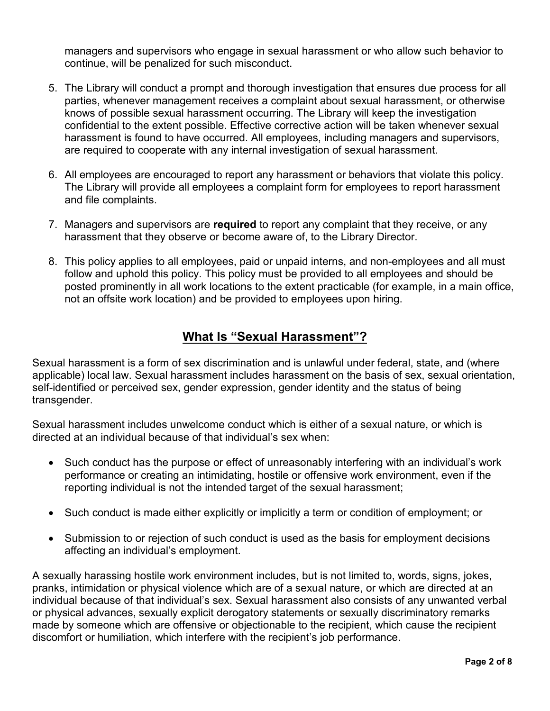managers and supervisors who engage in sexual harassment or who allow such behavior to continue, will be penalized for such misconduct.

- 5. The Library will conduct a prompt and thorough investigation that ensures due process for all parties, whenever management receives a complaint about sexual harassment, or otherwise knows of possible sexual harassment occurring. The Library will keep the investigation confidential to the extent possible. Effective corrective action will be taken whenever sexual harassment is found to have occurred. All employees, including managers and supervisors, are required to cooperate with any internal investigation of sexual harassment.
- 6. All employees are encouraged to report any harassment or behaviors that violate this policy. The Library will provide all employees a complaint form for employees to report harassment and file complaints.
- 7. Managers and supervisors are **required** to report any complaint that they receive, or any harassment that they observe or become aware of, to the Library Director.
- 8. This policy applies to all employees, paid or unpaid interns, and non-employees and all must follow and uphold this policy. This policy must be provided to all employees and should be posted prominently in all work locations to the extent practicable (for example, in a main office, not an offsite work location) and be provided to employees upon hiring.

# **What Is "Sexual Harassment"?**

Sexual harassment is a form of sex discrimination and is unlawful under federal, state, and (where applicable) local law. Sexual harassment includes harassment on the basis of sex, sexual orientation, self-identified or perceived sex, gender expression, gender identity and the status of being transgender.

Sexual harassment includes unwelcome conduct which is either of a sexual nature, or which is directed at an individual because of that individual's sex when:

- Such conduct has the purpose or effect of unreasonably interfering with an individual's work performance or creating an intimidating, hostile or offensive work environment, even if the reporting individual is not the intended target of the sexual harassment;
- Such conduct is made either explicitly or implicitly a term or condition of employment; or
- Submission to or rejection of such conduct is used as the basis for employment decisions affecting an individual's employment.

A sexually harassing hostile work environment includes, but is not limited to, words, signs, jokes, pranks, intimidation or physical violence which are of a sexual nature, or which are directed at an individual because of that individual's sex. Sexual harassment also consists of any unwanted verbal or physical advances, sexually explicit derogatory statements or sexually discriminatory remarks made by someone which are offensive or objectionable to the recipient, which cause the recipient discomfort or humiliation, which interfere with the recipient's job performance.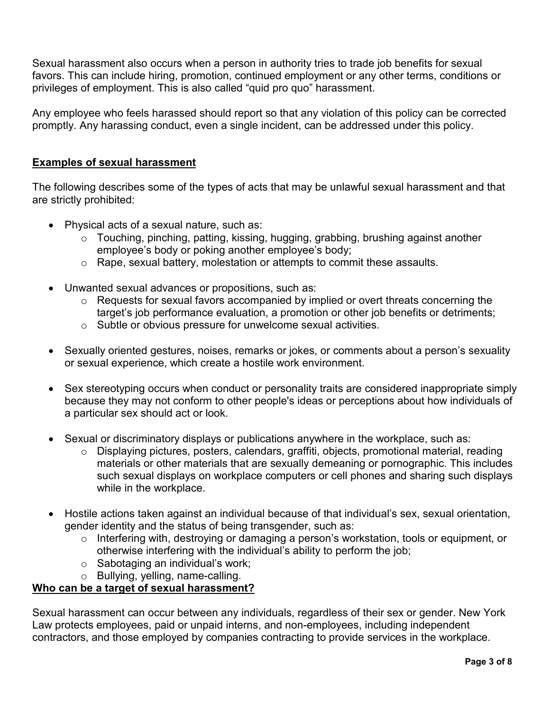Sexual harassment also occurs when a person in authority tries to trade job benefits for sexual favors. This can include hiring, promotion, continued employment or any other terms, conditions or privileges of employment. This is also called "quid pro quo" harassment.

Any employee who feels harassed should report so that any violation of this policy can be corrected promptly. Any harassing conduct, even a single incident, can be addressed under this policy.

### **Examples of sexual harassment**

The following describes some of the types of acts that may be unlawful sexual harassment and that are strictly prohibited:

- Physical acts of a sexual nature, such as:
	- $\overline{\circ}$  Touching, pinching, patting, kissing, hugging, grabbing, brushing against another employee's body or poking another employee's body;
	- o Rape, sexual battery, molestation or attempts to commit these assaults.
- Unwanted sexual advances or propositions, such as:
	- o Requests for sexual favors accompanied by implied or overt threats concerning the target's job performance evaluation, a promotion or other job benefits or detriments;
	- o Subtle or obvious pressure for unwelcome sexual activities.
- Sexually oriented gestures, noises, remarks or jokes, or comments about a person's sexuality or sexual experience, which create a hostile work environment.
- Sex stereotyping occurs when conduct or personality traits are considered inappropriate simply because they may not conform to other people's ideas or perceptions about how individuals of a particular sex should act or look.
- Sexual or discriminatory displays or publications anywhere in the workplace, such as:
	- o Displaying pictures, posters, calendars, graffiti, objects, promotional material, reading materials or other materials that are sexually demeaning or pornographic. This includes such sexual displays on workplace computers or cell phones and sharing such displays while in the workplace.
- Hostile actions taken against an individual because of that individual's sex, sexual orientation, gender identity and the status of being transgender, such as:
	- o Interfering with, destroying or damaging a person's workstation, tools or equipment, or otherwise interfering with the individual's ability to perform the job;
	- o Sabotaging an individual's work;
	- o Bullying, yelling, name-calling.

### **Who can be a target of sexual harassment?**

Sexual harassment can occur between any individuals, regardless of their sex or gender. New York Law protects employees, paid or unpaid interns, and non-employees, including independent contractors, and those employed by companies contracting to provide services in the workplace.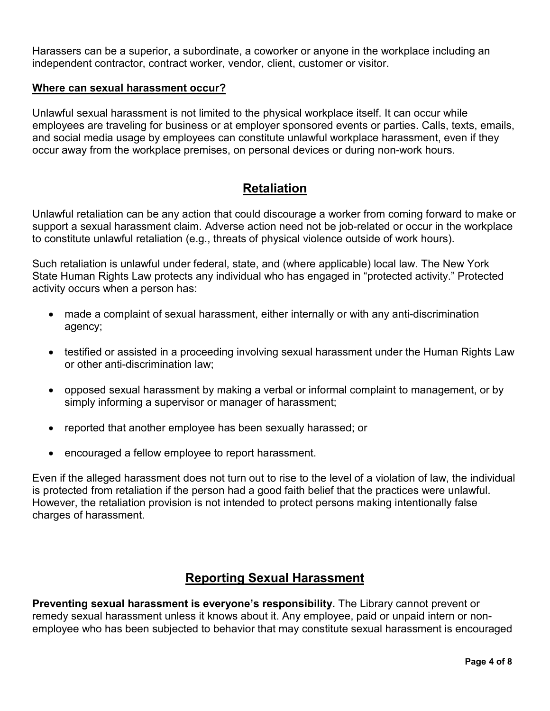Harassers can be a superior, a subordinate, a coworker or anyone in the workplace including an independent contractor, contract worker, vendor, client, customer or visitor.

#### **Where can sexual harassment occur?**

Unlawful sexual harassment is not limited to the physical workplace itself. It can occur while employees are traveling for business or at employer sponsored events or parties. Calls, texts, emails, and social media usage by employees can constitute unlawful workplace harassment, even if they occur away from the workplace premises, on personal devices or during non-work hours.

## **Retaliation**

Unlawful retaliation can be any action that could discourage a worker from coming forward to make or support a sexual harassment claim. Adverse action need not be job-related or occur in the workplace to constitute unlawful retaliation (e.g., threats of physical violence outside of work hours).

Such retaliation is unlawful under federal, state, and (where applicable) local law. The New York State Human Rights Law protects any individual who has engaged in "protected activity." Protected activity occurs when a person has:

- made a complaint of sexual harassment, either internally or with any anti-discrimination agency;
- testified or assisted in a proceeding involving sexual harassment under the Human Rights Law or other anti-discrimination law;
- opposed sexual harassment by making a verbal or informal complaint to management, or by simply informing a supervisor or manager of harassment;
- reported that another employee has been sexually harassed; or
- encouraged a fellow employee to report harassment.

Even if the alleged harassment does not turn out to rise to the level of a violation of law, the individual is protected from retaliation if the person had a good faith belief that the practices were unlawful. However, the retaliation provision is not intended to protect persons making intentionally false charges of harassment.

## **Reporting Sexual Harassment**

**Preventing sexual harassment is everyone's responsibility.** The Library cannot prevent or remedy sexual harassment unless it knows about it. Any employee, paid or unpaid intern or nonemployee who has been subjected to behavior that may constitute sexual harassment is encouraged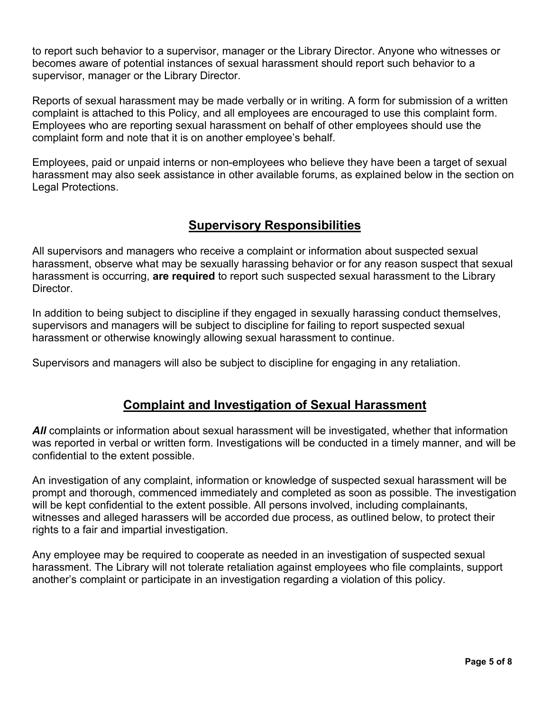to report such behavior to a supervisor, manager or the Library Director. Anyone who witnesses or becomes aware of potential instances of sexual harassment should report such behavior to a supervisor, manager or the Library Director.

Reports of sexual harassment may be made verbally or in writing. A form for submission of a written complaint is attached to this Policy, and all employees are encouraged to use this complaint form. Employees who are reporting sexual harassment on behalf of other employees should use the complaint form and note that it is on another employee's behalf.

Employees, paid or unpaid interns or non-employees who believe they have been a target of sexual harassment may also seek assistance in other available forums, as explained below in the section on Legal Protections.

# **Supervisory Responsibilities**

All supervisors and managers who receive a complaint or information about suspected sexual harassment, observe what may be sexually harassing behavior or for any reason suspect that sexual harassment is occurring, **are required** to report such suspected sexual harassment to the Library Director.

In addition to being subject to discipline if they engaged in sexually harassing conduct themselves, supervisors and managers will be subject to discipline for failing to report suspected sexual harassment or otherwise knowingly allowing sexual harassment to continue.

Supervisors and managers will also be subject to discipline for engaging in any retaliation.

## **Complaint and Investigation of Sexual Harassment**

**All** complaints or information about sexual harassment will be investigated, whether that information was reported in verbal or written form. Investigations will be conducted in a timely manner, and will be confidential to the extent possible.

An investigation of any complaint, information or knowledge of suspected sexual harassment will be prompt and thorough, commenced immediately and completed as soon as possible. The investigation will be kept confidential to the extent possible. All persons involved, including complainants, witnesses and alleged harassers will be accorded due process, as outlined below, to protect their rights to a fair and impartial investigation.

Any employee may be required to cooperate as needed in an investigation of suspected sexual harassment. The Library will not tolerate retaliation against employees who file complaints, support another's complaint or participate in an investigation regarding a violation of this policy.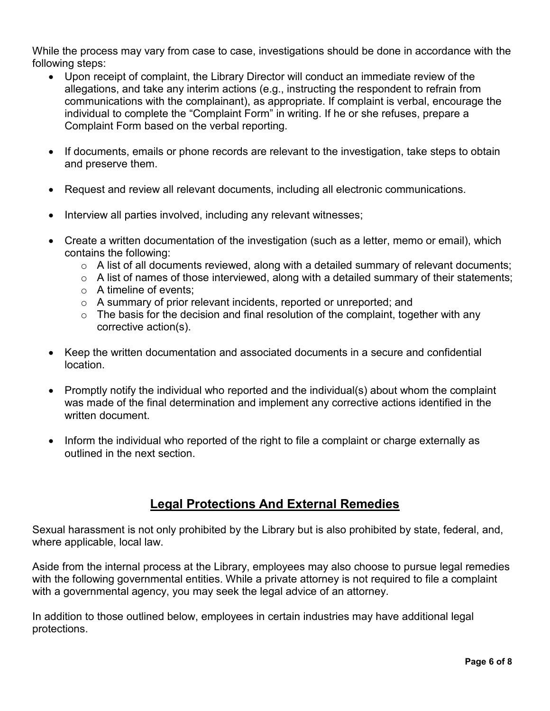While the process may vary from case to case, investigations should be done in accordance with the following steps:

- Upon receipt of complaint, the Library Director will conduct an immediate review of the allegations, and take any interim actions (e.g., instructing the respondent to refrain from communications with the complainant), as appropriate. If complaint is verbal, encourage the individual to complete the "Complaint Form" in writing. If he or she refuses, prepare a Complaint Form based on the verbal reporting.
- If documents, emails or phone records are relevant to the investigation, take steps to obtain and preserve them.
- Request and review all relevant documents, including all electronic communications.
- Interview all parties involved, including any relevant witnesses;
- Create a written documentation of the investigation (such as a letter, memo or email), which contains the following:
	- $\circ$  A list of all documents reviewed, along with a detailed summary of relevant documents;
	- $\circ$  A list of names of those interviewed, along with a detailed summary of their statements;
	- o A timeline of events;
	- o A summary of prior relevant incidents, reported or unreported; and
	- $\circ$  The basis for the decision and final resolution of the complaint, together with any corrective action(s).
- Keep the written documentation and associated documents in a secure and confidential location.
- Promptly notify the individual who reported and the individual(s) about whom the complaint was made of the final determination and implement any corrective actions identified in the written document.
- Inform the individual who reported of the right to file a complaint or charge externally as outlined in the next section.

## **Legal Protections And External Remedies**

Sexual harassment is not only prohibited by the Library but is also prohibited by state, federal, and, where applicable, local law.

Aside from the internal process at the Library, employees may also choose to pursue legal remedies with the following governmental entities. While a private attorney is not required to file a complaint with a governmental agency, you may seek the legal advice of an attorney.

In addition to those outlined below, employees in certain industries may have additional legal protections.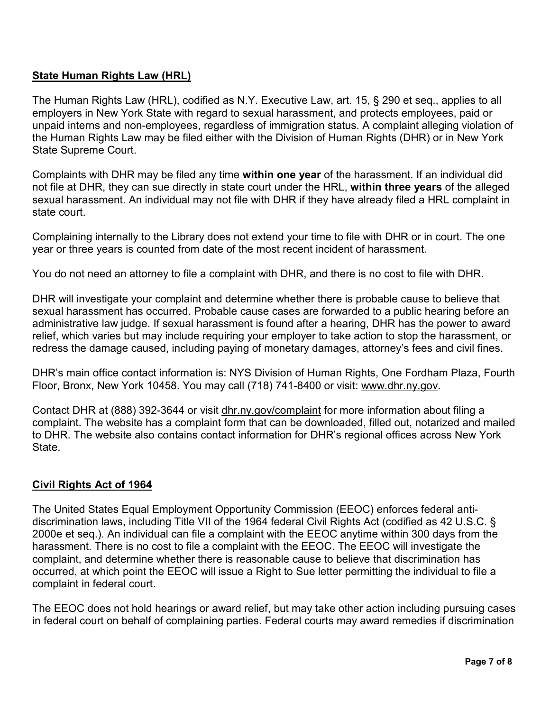### **State Human Rights Law (HRL)**

The Human Rights Law (HRL), codified as N.Y. Executive Law, art. 15, § 290 et seq., applies to all employers in New York State with regard to sexual harassment, and protects employees, paid or unpaid interns and non-employees, regardless of immigration status. A complaint alleging violation of the Human Rights Law may be filed either with the Division of Human Rights (DHR) or in New York State Supreme Court.

Complaints with DHR may be filed any time **within one year** of the harassment. If an individual did not file at DHR, they can sue directly in state court under the HRL, **within three years** of the alleged sexual harassment. An individual may not file with DHR if they have already filed a HRL complaint in state court.

Complaining internally to the Library does not extend your time to file with DHR or in court. The one year or three years is counted from date of the most recent incident of harassment.

You do not need an attorney to file a complaint with DHR, and there is no cost to file with DHR.

DHR will investigate your complaint and determine whether there is probable cause to believe that sexual harassment has occurred. Probable cause cases are forwarded to a public hearing before an administrative law judge. If sexual harassment is found after a hearing, DHR has the power to award relief, which varies but may include requiring your employer to take action to stop the harassment, or redress the damage caused, including paying of monetary damages, attorney's fees and civil fines.

DHR's main office contact information is: NYS Division of Human Rights, One Fordham Plaza, Fourth Floor, Bronx, New York 10458. You may call (718) 741-8400 or visit: [www.dhr.ny.gov.](http://www.dhr.ny.gov/)

Contact DHR at (888) 392-3644 or visit [dhr.ny.gov/complaint](https://dhr.ny.gov/complaint) for more information about filing a complaint. The website has a complaint form that can be downloaded, filled out, notarized and mailed to DHR. The website also contains contact information for DHR's regional offices across New York State.

#### **Civil Rights Act of 1964**

The United States Equal Employment Opportunity Commission (EEOC) enforces federal antidiscrimination laws, including Title VII of the 1964 federal Civil Rights Act (codified as 42 U.S.C. § 2000e et seq.). An individual can file a complaint with the EEOC anytime within 300 days from the harassment. There is no cost to file a complaint with the EEOC. The EEOC will investigate the complaint, and determine whether there is reasonable cause to believe that discrimination has occurred, at which point the EEOC will issue a Right to Sue letter permitting the individual to file a complaint in federal court.

The EEOC does not hold hearings or award relief, but may take other action including pursuing cases in federal court on behalf of complaining parties. Federal courts may award remedies if discrimination